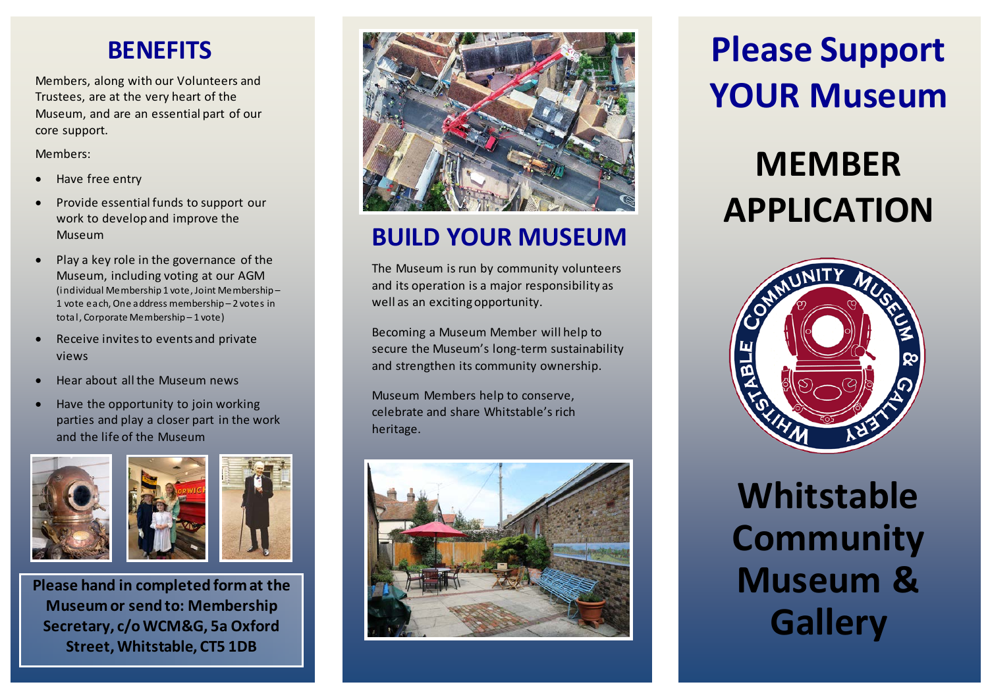#### **BENEFITS**

Members, along with our Volunteers and Trustees, are at the very heart of the Museum, and are an essential part of our core support.

Members:

- Have free entry
- Provide essential funds to support our work to develop and improve the Museum
- Play a key role in the governance of the Museum, including voting at our AGM (individual Membership 1 vote, Joint Membership – 1 vote each, One address membership – 2 votes in total, Corporate Membership – 1 vote)
- Receive invites to events and private views
- Hear about all the Museum news
- Have the opportunity to join working parties and play a closer part in the work and the life of the Museum





**Please hand in completed form at the Museum or send to: Membership Secretary, c/o WCM&G, 5a Oxford Street, Whitstable, CT5 1DB**



### **BUILD YOUR MUSEUM**

The Museum is run by community volunteers and its operation is a major responsibility as well as an exciting opportunity.

Becoming a Museum Member will help to secure the Museum's long-term sustainability and strengthen its community ownership.

Museum Members help to conserve, celebrate and share Whitstable's rich heritage.



# **Please Support YOUR Museum**

# **MEMBER APPLICATION**



## **Whitstable Community Museum & Gallery**